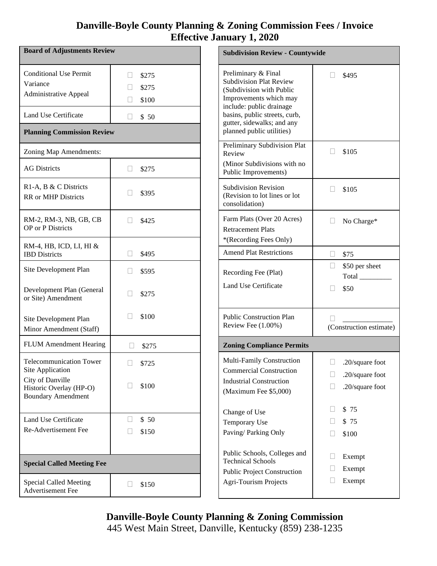## **Danville-Boyle County Planning & Zoning Commission Fees / Invoice Effective January 1, 2020**

| <b>Board of Adjustments Review</b>                                        |                                          |  |  |
|---------------------------------------------------------------------------|------------------------------------------|--|--|
| <b>Conditional Use Permit</b><br>Variance<br><b>Administrative Appeal</b> | \$275<br>- 1<br>\$275<br>$\Box$<br>\$100 |  |  |
| <b>Land Use Certificate</b>                                               | \$50<br>H.                               |  |  |
| <b>Planning Commission Review</b>                                         |                                          |  |  |
| Zoning Map Amendments:                                                    |                                          |  |  |
| <b>AG Districts</b>                                                       | \$275                                    |  |  |
| R1-A, B & C Districts<br><b>RR</b> or MHP Districts                       | \$395                                    |  |  |
| RM-2, RM-3, NB, GB, CB<br><b>OP</b> or P Districts                        | \$425<br>$\Box$                          |  |  |
| RM-4, HB, ICD, LI, HI &<br><b>IBD</b> Districts                           | $\mathbf{L}$<br>\$495                    |  |  |
| Site Development Plan                                                     | \$595<br>$\mathbf{L}$                    |  |  |
| Development Plan (General<br>or Site) Amendment                           | \$275                                    |  |  |
| Site Development Plan<br>Minor Amendment (Staff)                          | $\Box$<br>\$100                          |  |  |
| <b>FLUM</b> Amendment Hearing                                             | \$275                                    |  |  |
| <b>Telecommunication Tower</b><br>Site Application                        | \$725                                    |  |  |
| City of Danville<br>Historic Overlay (HP-O)<br><b>Boundary Amendment</b>  | \$100                                    |  |  |
| Land Use Certificate                                                      | \$50<br><b>III</b>                       |  |  |
| Re-Advertisement Fee                                                      | \$150<br>H                               |  |  |
| <b>Special Called Meeting Fee</b>                                         |                                          |  |  |
| Special Called Meeting<br>Advertisement Fee                               | \$150<br>$\mathbf{I}$                    |  |  |

| <b>Subdivision Review - Countywide</b>                                                                                                                                                                                              |                                                                 |  |  |  |
|-------------------------------------------------------------------------------------------------------------------------------------------------------------------------------------------------------------------------------------|-----------------------------------------------------------------|--|--|--|
| Preliminary & Final<br><b>Subdivision Plat Review</b><br>(Subdivision with Public<br>Improvements which may<br>include: public drainage<br>basins, public streets, curb,<br>gutter, sidewalks; and any<br>planned public utilities) | \$495                                                           |  |  |  |
| Preliminary Subdivision Plat<br>Review<br>(Minor Subdivisions with no<br>Public Improvements)                                                                                                                                       | \$105<br>$\Box$                                                 |  |  |  |
| <b>Subdivision Revision</b><br>(Revision to lot lines or lot<br>consolidation)                                                                                                                                                      | \$105                                                           |  |  |  |
| Farm Plats (Over 20 Acres)<br><b>Retracement Plats</b><br>*(Recording Fees Only)                                                                                                                                                    | No Charge*                                                      |  |  |  |
| <b>Amend Plat Restrictions</b>                                                                                                                                                                                                      | $\overline{\phantom{a}}$<br>\$75                                |  |  |  |
| Recording Fee (Plat)<br>Land Use Certificate                                                                                                                                                                                        | \$50 per sheet<br>Total<br>\$50                                 |  |  |  |
| <b>Public Construction Plan</b><br>Review Fee (1.00%)                                                                                                                                                                               | (Construction estimate)                                         |  |  |  |
| <b>Zoning Compliance Permits</b>                                                                                                                                                                                                    |                                                                 |  |  |  |
| Multi-Family Construction<br><b>Commercial Construction</b><br><b>Industrial Construction</b><br>(Maximum Fee \$5,000)                                                                                                              | .20/square foot<br>$\Box$<br>.20/square foot<br>.20/square foot |  |  |  |
| Change of Use<br><b>Temporary Use</b><br>Paving/Parking Only                                                                                                                                                                        | \$75<br>ГJ.<br>\$75<br>\$100                                    |  |  |  |
| Public Schools, Colleges and<br><b>Technical Schools</b><br><b>Public Project Construction</b><br><b>Agri-Tourism Projects</b>                                                                                                      | ГΙ<br>Exempt<br>Exempt<br>Exempt                                |  |  |  |

**Danville-Boyle County Planning & Zoning Commission** 445 West Main Street, Danville, Kentucky (859) 238-1235